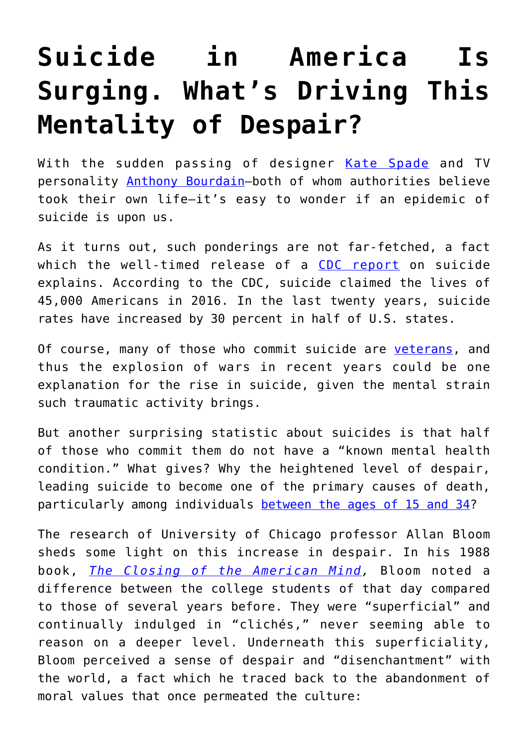## **[Suicide in America Is](https://intellectualtakeout.org/2018/06/suicide-in-america-is-surging-whats-driving-this-mentality-of-despair/) [Surging. What's Driving This](https://intellectualtakeout.org/2018/06/suicide-in-america-is-surging-whats-driving-this-mentality-of-despair/) [Mentality of Despair?](https://intellectualtakeout.org/2018/06/suicide-in-america-is-surging-whats-driving-this-mentality-of-despair/)**

With the sudden passing of designer [Kate Spade](https://www.cbsnews.com/news/kate-spade-suicide-andy-spade-statement-after-designers-death-today-2018-06-06/) and TV personality [Anthony Bourdain](https://www.cnn.com/2018/06/08/us/anthony-bourdain-obit/index.html)—both of whom authorities believe took their own life—it's easy to wonder if an epidemic of suicide is upon us.

As it turns out, such ponderings are not far-fetched, a fact which the well-timed release of a [CDC report](https://www.cdc.gov/vitalsigns/suicide/) on suicide explains. According to the CDC, suicide claimed the lives of 45,000 Americans in 2016. In the last twenty years, suicide rates have increased by 30 percent in half of U.S. states.

Of course, many of those who commit suicide are [veterans](https://www.va.gov/opa/pressrel/pressrelease.cfm?id=2951), and thus the explosion of wars in recent years could be one explanation for the rise in suicide, given the mental strain such traumatic activity brings.

But another surprising statistic about suicides is that half of those who commit them do not have a "known mental health condition." What gives? Why the heightened level of despair, leading suicide to become one of the primary causes of death, particularly among individuals [between the ages of 15 and 34](https://www.washingtonpost.com/news/to-your-health/wp/2018/06/07/u-s-suicide-rates-rise-sharply-across-the-country-new-report-shows/)?

The research of University of Chicago professor Allan Bloom sheds some light on this increase in despair. In his 1988 book, *[The Closing of the American Mind](https://www.amazon.com/gp/product/1451683200/ref=as_li_qf_asin_il_tl?ie=UTF8&tag=intelltakeo0d-20&creative=9325&linkCode=as2&creativeASIN=1451683200&linkId=7eb2d8e8a581b3458a7b7914f85d579b),* Bloom noted a difference between the college students of that day compared to those of several years before. They were "superficial" and continually indulged in "clichés," never seeming able to reason on a deeper level. Underneath this superficiality, Bloom perceived a sense of despair and "disenchantment" with the world, a fact which he traced back to the abandonment of moral values that once permeated the culture: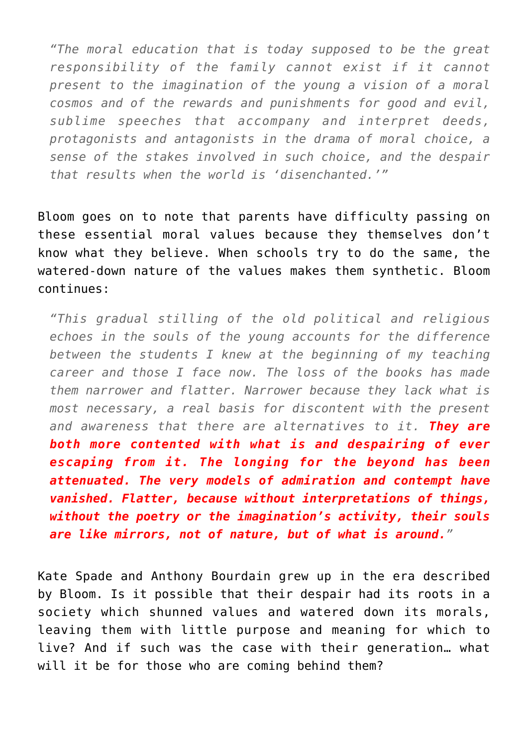*"The moral education that is today supposed to be the great responsibility of the family cannot exist if it cannot present to the imagination of the young a vision of a moral cosmos and of the rewards and punishments for good and evil, sublime speeches that accompany and interpret deeds, protagonists and antagonists in the drama of moral choice, a sense of the stakes involved in such choice, and the despair that results when the world is 'disenchanted.'"*

Bloom goes on to note that parents have difficulty passing on these essential moral values because they themselves don't know what they believe. When schools try to do the same, the watered-down nature of the values makes them synthetic. Bloom continues:

*"This gradual stilling of the old political and religious echoes in the souls of the young accounts for the difference between the students I knew at the beginning of my teaching career and those I face now. The loss of the books has made them narrower and flatter. Narrower because they lack what is most necessary, a real basis for discontent with the present and awareness that there are alternatives to it. They are both more contented with what is and despairing of ever escaping from it. The longing for the beyond has been attenuated. The very models of admiration and contempt have vanished. Flatter, because without interpretations of things, without the poetry or the imagination's activity, their souls are like mirrors, not of nature, but of what is around."*

Kate Spade and Anthony Bourdain grew up in the era described by Bloom. Is it possible that their despair had its roots in a society which shunned values and watered down its morals, leaving them with little purpose and meaning for which to live? And if such was the case with their generation… what will it be for those who are coming behind them?